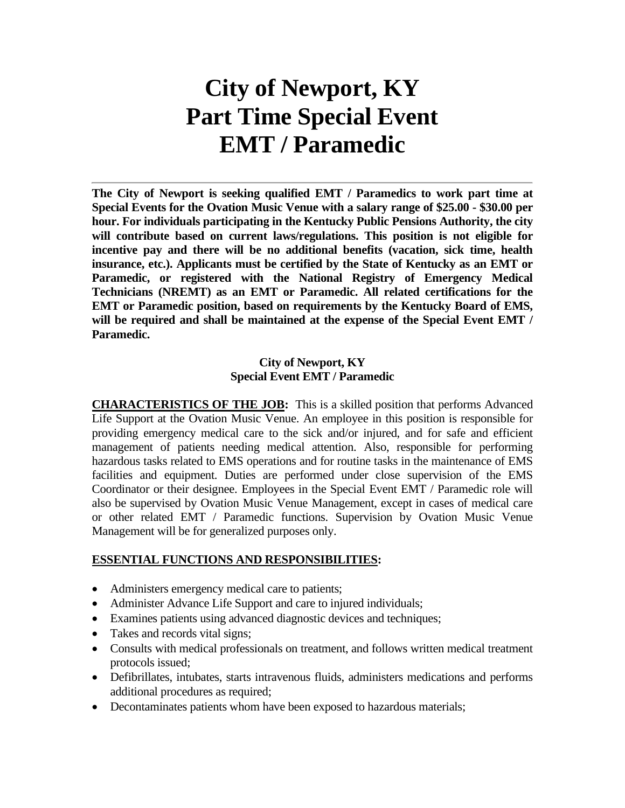# **City of Newport, KY Part Time Special Event EMT / Paramedic**

**The City of Newport is seeking qualified EMT / Paramedics to work part time at Special Events for the Ovation Music Venue with a salary range of \$25.00 - \$30.00 per hour. For individuals participating in the Kentucky Public Pensions Authority, the city will contribute based on current laws/regulations. This position is not eligible for incentive pay and there will be no additional benefits (vacation, sick time, health insurance, etc.). Applicants must be certified by the State of Kentucky as an EMT or Paramedic, or registered with the National Registry of Emergency Medical Technicians (NREMT) as an EMT or Paramedic. All related certifications for the EMT or Paramedic position, based on requirements by the Kentucky Board of EMS, will be required and shall be maintained at the expense of the Special Event EMT / Paramedic.**

#### **City of Newport, KY Special Event EMT / Paramedic**

**CHARACTERISTICS OF THE JOB:** This is a skilled position that performs Advanced Life Support at the Ovation Music Venue. An employee in this position is responsible for providing emergency medical care to the sick and/or injured, and for safe and efficient management of patients needing medical attention. Also, responsible for performing hazardous tasks related to EMS operations and for routine tasks in the maintenance of EMS facilities and equipment. Duties are performed under close supervision of the EMS Coordinator or their designee. Employees in the Special Event EMT / Paramedic role will also be supervised by Ovation Music Venue Management, except in cases of medical care or other related EMT / Paramedic functions. Supervision by Ovation Music Venue Management will be for generalized purposes only.

#### **ESSENTIAL FUNCTIONS AND RESPONSIBILITIES:**

- Administers emergency medical care to patients;
- Administer Advance Life Support and care to injured individuals;
- Examines patients using advanced diagnostic devices and techniques;
- Takes and records vital signs;
- Consults with medical professionals on treatment, and follows written medical treatment protocols issued;
- Defibrillates, intubates, starts intravenous fluids, administers medications and performs additional procedures as required;
- Decontaminates patients whom have been exposed to hazardous materials;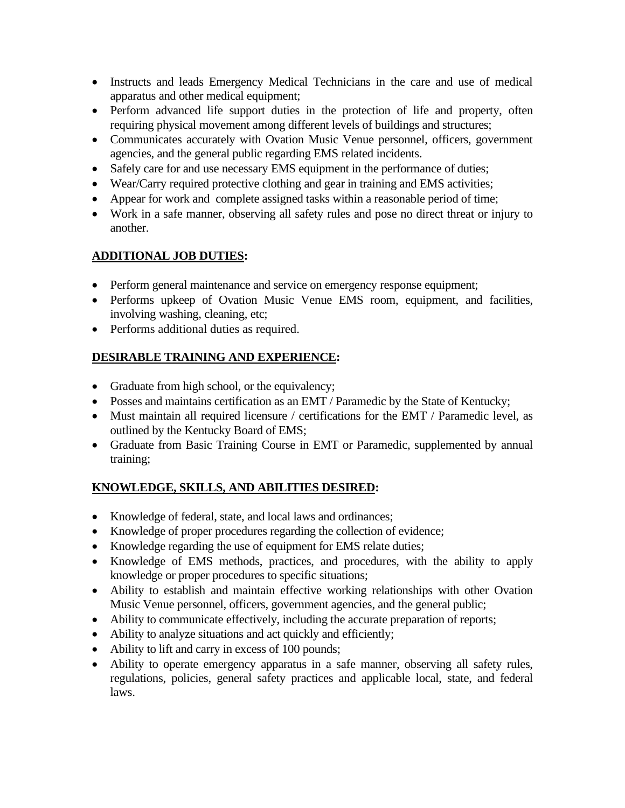- Instructs and leads Emergency Medical Technicians in the care and use of medical apparatus and other medical equipment;
- Perform advanced life support duties in the protection of life and property, often requiring physical movement among different levels of buildings and structures;
- Communicates accurately with Ovation Music Venue personnel, officers, government agencies, and the general public regarding EMS related incidents.
- Safely care for and use necessary EMS equipment in the performance of duties;
- Wear/Carry required protective clothing and gear in training and EMS activities;
- Appear for work and complete assigned tasks within a reasonable period of time;
- Work in a safe manner, observing all safety rules and pose no direct threat or injury to another.

# **ADDITIONAL JOB DUTIES:**

- Perform general maintenance and service on emergency response equipment;
- Performs upkeep of Ovation Music Venue EMS room, equipment, and facilities, involving washing, cleaning, etc;
- Performs additional duties as required.

# **DESIRABLE TRAINING AND EXPERIENCE:**

- Graduate from high school, or the equivalency;
- Posses and maintains certification as an EMT / Paramedic by the State of Kentucky;
- Must maintain all required licensure / certifications for the EMT / Paramedic level, as outlined by the Kentucky Board of EMS;
- Graduate from Basic Training Course in EMT or Paramedic, supplemented by annual training;

# **KNOWLEDGE, SKILLS, AND ABILITIES DESIRED:**

- Knowledge of federal, state, and local laws and ordinances;
- Knowledge of proper procedures regarding the collection of evidence;
- Knowledge regarding the use of equipment for EMS relate duties;
- Knowledge of EMS methods, practices, and procedures, with the ability to apply knowledge or proper procedures to specific situations;
- Ability to establish and maintain effective working relationships with other Ovation Music Venue personnel, officers, government agencies, and the general public;
- Ability to communicate effectively, including the accurate preparation of reports;
- Ability to analyze situations and act quickly and efficiently;
- Ability to lift and carry in excess of 100 pounds;
- Ability to operate emergency apparatus in a safe manner, observing all safety rules, regulations, policies, general safety practices and applicable local, state, and federal laws.